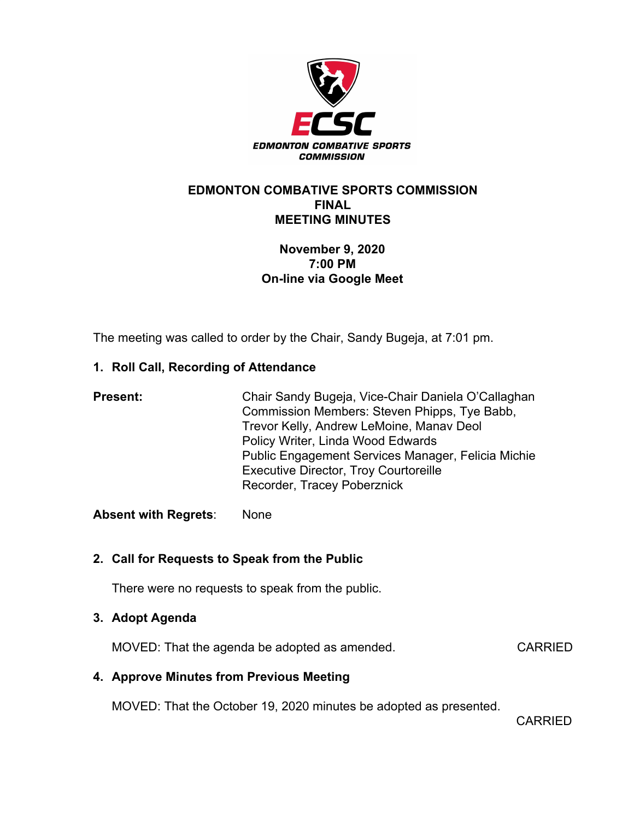

#### **EDMONTON COMBATIVE SPORTS COMMISSION FINAL MEETING MINUTES**

# **November 9, 2020 7:00 PM On-line via Google Meet**

The meeting was called to order by the Chair, Sandy Bugeja, at 7:01 pm.

# **1. Roll Call, Recording of Attendance**

| <b>Present:</b> | Chair Sandy Bugeja, Vice-Chair Daniela O'Callaghan<br>Commission Members: Steven Phipps, Tye Babb,<br>Trevor Kelly, Andrew LeMoine, Manav Deol |
|-----------------|------------------------------------------------------------------------------------------------------------------------------------------------|
|                 | Policy Writer, Linda Wood Edwards<br>Public Engagement Services Manager, Felicia Michie                                                        |
|                 | <b>Executive Director, Troy Courtoreille</b><br>Recorder, Tracey Poberznick                                                                    |

**Absent with Regrets**: None

# **2. Call for Requests to Speak from the Public**

There were no requests to speak from the public.

# **3. Adopt Agenda**

MOVED: That the agenda be adopted as amended. CARRIED

# **4. Approve Minutes from Previous Meeting**

MOVED: That the October 19, 2020 minutes be adopted as presented.

CARRIED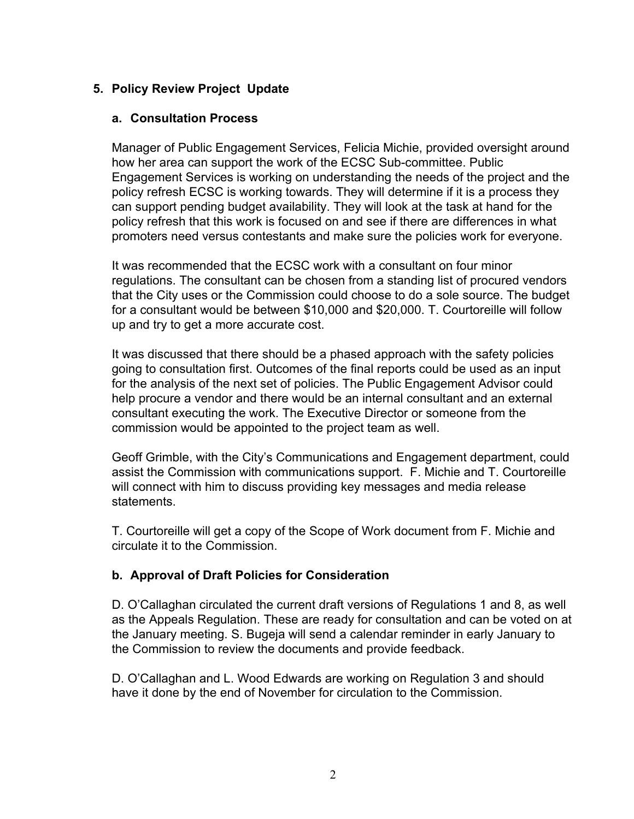# **5. Policy Review Project Update**

#### **a. Consultation Process**

Manager of Public Engagement Services, Felicia Michie, provided oversight around how her area can support the work of the ECSC Sub-committee. Public Engagement Services is working on understanding the needs of the project and the policy refresh ECSC is working towards. They will determine if it is a process they can support pending budget availability. They will look at the task at hand for the policy refresh that this work is focused on and see if there are differences in what promoters need versus contestants and make sure the policies work for everyone.

It was recommended that the ECSC work with a consultant on four minor regulations. The consultant can be chosen from a standing list of procured vendors that the City uses or the Commission could choose to do a sole source. The budget for a consultant would be between \$10,000 and \$20,000. T. Courtoreille will follow up and try to get a more accurate cost.

It was discussed that there should be a phased approach with the safety policies going to consultation first. Outcomes of the final reports could be used as an input for the analysis of the next set of policies. The Public Engagement Advisor could help procure a vendor and there would be an internal consultant and an external consultant executing the work. The Executive Director or someone from the commission would be appointed to the project team as well.

Geoff Grimble, with the City's Communications and Engagement department, could assist the Commission with communications support. F. Michie and T. Courtoreille will connect with him to discuss providing key messages and media release statements.

T. Courtoreille will get a copy of the Scope of Work document from F. Michie and circulate it to the Commission.

# **b. Approval of Draft Policies for Consideration**

D. O'Callaghan circulated the current draft versions of Regulations 1 and 8, as well as the Appeals Regulation. These are ready for consultation and can be voted on at the January meeting. S. Bugeja will send a calendar reminder in early January to the Commission to review the documents and provide feedback.

D. O'Callaghan and L. Wood Edwards are working on Regulation 3 and should have it done by the end of November for circulation to the Commission.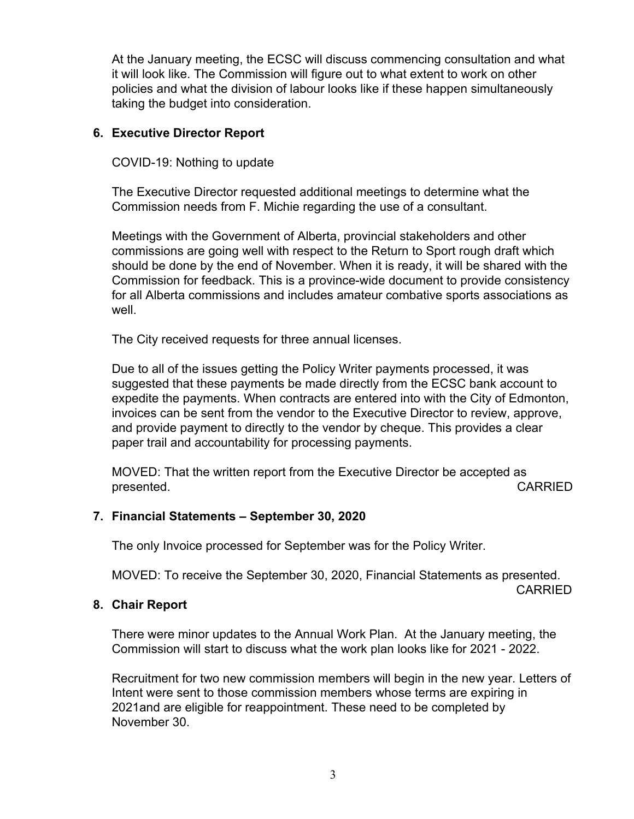At the January meeting, the ECSC will discuss commencing consultation and what it will look like. The Commission will figure out to what extent to work on other policies and what the division of labour looks like if these happen simultaneously taking the budget into consideration.

#### **6. Executive Director Report**

COVID-19: Nothing to update

The Executive Director requested additional meetings to determine what the Commission needs from F. Michie regarding the use of a consultant.

Meetings with the Government of Alberta, provincial stakeholders and other commissions are going well with respect to the Return to Sport rough draft which should be done by the end of November. When it is ready, it will be shared with the Commission for feedback. This is a province-wide document to provide consistency for all Alberta commissions and includes amateur combative sports associations as well.

The City received requests for three annual licenses.

Due to all of the issues getting the Policy Writer payments processed, it was suggested that these payments be made directly from the ECSC bank account to expedite the payments. When contracts are entered into with the City of Edmonton, invoices can be sent from the vendor to the Executive Director to review, approve, and provide payment to directly to the vendor by cheque. This provides a clear paper trail and accountability for processing payments.

MOVED: That the written report from the Executive Director be accepted as presented. **CARRIED** 

# **7. Financial Statements – September 30, 2020**

The only Invoice processed for September was for the Policy Writer.

MOVED: To receive the September 30, 2020, Financial Statements as presented.

#### CARRIED

#### **8. Chair Report**

There were minor updates to the Annual Work Plan. At the January meeting, the Commission will start to discuss what the work plan looks like for 2021 - 2022.

Recruitment for two new commission members will begin in the new year. Letters of Intent were sent to those commission members whose terms are expiring in 2021and are eligible for reappointment. These need to be completed by November 30.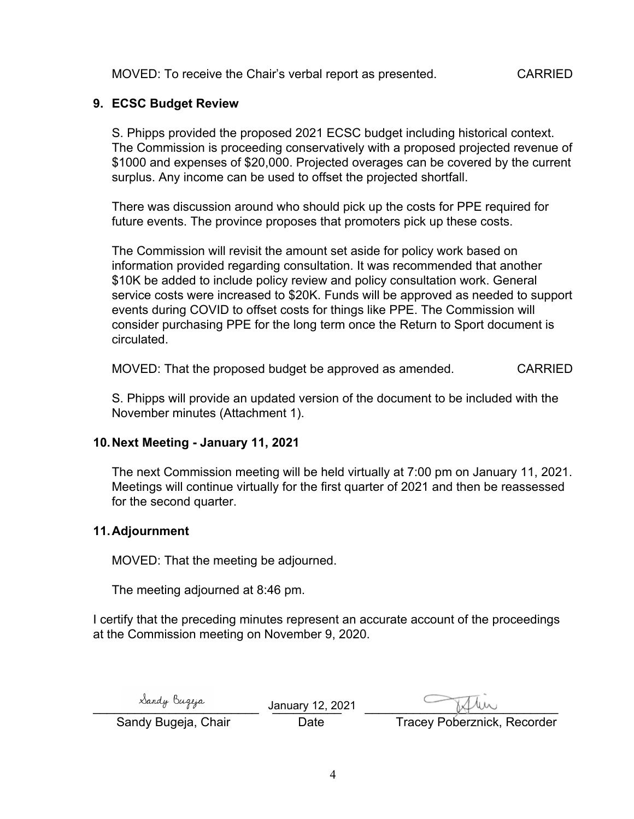MOVED: To receive the Chair's verbal report as presented. CARRIED

### **9. ECSC Budget Review**

S. Phipps provided the proposed 2021 ECSC budget including historical context. The Commission is proceeding conservatively with a proposed projected revenue of \$1000 and expenses of \$20,000. Projected overages can be covered by the current surplus. Any income can be used to offset the projected shortfall.

There was discussion around who should pick up the costs for PPE required for future events. The province proposes that promoters pick up these costs.

The Commission will revisit the amount set aside for policy work based on information provided regarding consultation. It was recommended that another \$10K be added to include policy review and policy consultation work. General service costs were increased to \$20K. Funds will be approved as needed to support events during COVID to offset costs for things like PPE. The Commission will consider purchasing PPE for the long term once the Return to Sport document is circulated.

MOVED: That the proposed budget be approved as amended. CARRIED

S. Phipps will provide an updated version of the document to be included with the November minutes (Attachment 1).

#### **10.Next Meeting - January 11, 2021**

The next Commission meeting will be held virtually at 7:00 pm on January 11, 2021. Meetings will continue virtually for the first quarter of 2021 and then be reassessed for the second quarter.

#### **11.Adjournment**

MOVED: That the meeting be adjourned.

The meeting adjourned at 8:46 pm.

I certify that the preceding minutes represent an accurate account of the proceedings at the Commission meeting on November 9, 2020.

| Sandy Bugeja        | January 12, 2021 | Tille                              |
|---------------------|------------------|------------------------------------|
| Sandy Bugeja, Chair | Date             | <b>Tracey Poberznick, Recorder</b> |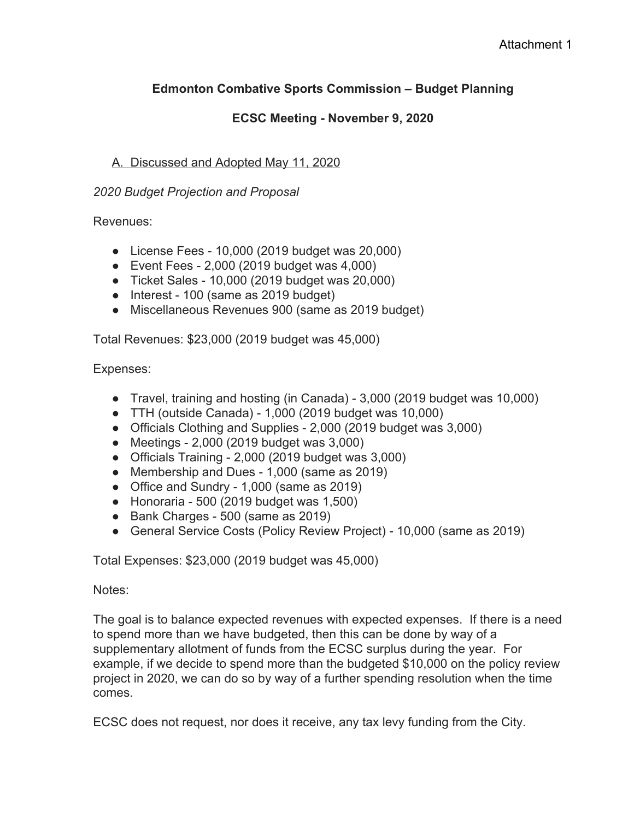# **Edmonton Combative Sports Commission – Budget Planning**

# **ECSC Meeting - November 9, 2020**

# A. Discussed and Adopted May 11, 2020

### *2020 Budget Projection and Proposal*

Revenues:

- License Fees 10,000 (2019 budget was 20,000)
- $\bullet$  Event Fees 2,000 (2019 budget was 4,000)
- Ticket Sales 10,000 (2019 budget was 20,000)
- Interest 100 (same as 2019 budget)
- Miscellaneous Revenues 900 (same as 2019 budget)

Total Revenues: \$23,000 (2019 budget was 45,000)

Expenses:

- Travel, training and hosting (in Canada) 3,000 (2019 budget was 10,000)
- TTH (outside Canada) 1,000 (2019 budget was 10,000)
- Officials Clothing and Supplies 2,000 (2019 budget was 3,000)
- Meetings 2,000 (2019 budget was 3,000)
- Officials Training 2,000 (2019 budget was 3,000)
- Membership and Dues 1,000 (same as 2019)
- Office and Sundry 1,000 (same as 2019)
- $\bullet$  Honoraria 500 (2019 budget was 1,500)
- Bank Charges 500 (same as 2019)
- General Service Costs (Policy Review Project) 10,000 (same as 2019)

Total Expenses: \$23,000 (2019 budget was 45,000)

Notes:

The goal is to balance expected revenues with expected expenses. If there is a need to spend more than we have budgeted, then this can be done by way of a supplementary allotment of funds from the ECSC surplus during the year. For example, if we decide to spend more than the budgeted \$10,000 on the policy review project in 2020, we can do so by way of a further spending resolution when the time comes.

ECSC does not request, nor does it receive, any tax levy funding from the City.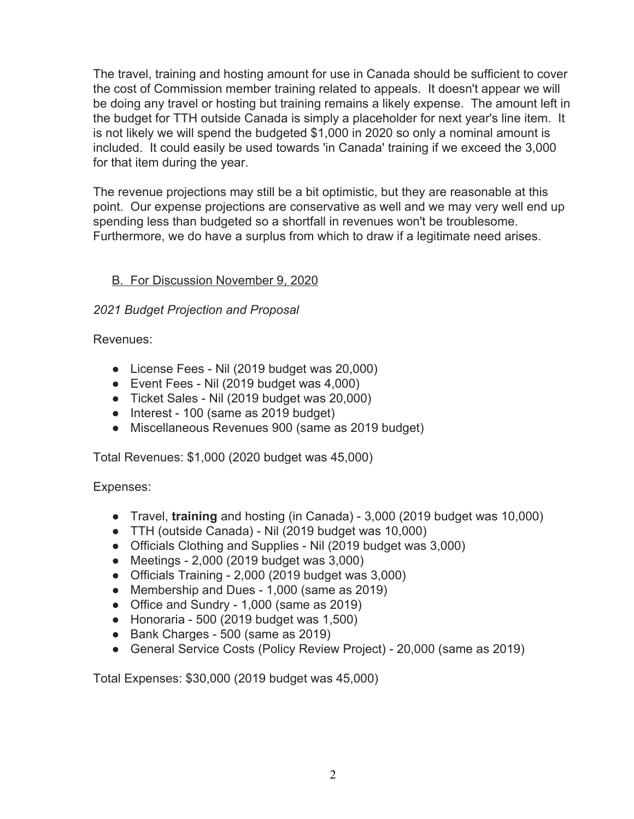The travel, training and hosting amount for use in Canada should be sufficient to cover the cost of Commission member training related to appeals. It doesn't appear we will be doing any travel or hosting but training remains a likely expense. The amount left in the budget for TTH outside Canada is simply a placeholder for next year's line item. It is not likely we will spend the budgeted \$1,000 in 2020 so only a nominal amount is included. It could easily be used towards 'in Canada' training if we exceed the 3,000 for that item during the year.

The revenue projections may still be a bit optimistic, but they are reasonable at this point. Our expense projections are conservative as well and we may very well end up spending less than budgeted so a shortfall in revenues won't be troublesome. Furthermore, we do have a surplus from which to draw if a legitimate need arises.

# B. For Discussion November 9, 2020

# *2021 Budget Projection and Proposal*

Revenues:

- License Fees Nil (2019 budget was 20,000)
- Event Fees Nil (2019 budget was 4,000)
- Ticket Sales Nil (2019 budget was 20,000)
- Interest 100 (same as 2019 budget)
- Miscellaneous Revenues 900 (same as 2019 budget)

Total Revenues: \$1,000 (2020 budget was 45,000)

Expenses:

- Travel, **training** and hosting (in Canada) 3,000 (2019 budget was 10,000)
- TTH (outside Canada) Nil (2019 budget was 10,000)
- Officials Clothing and Supplies Nil (2019 budget was 3,000)
- Meetings 2,000 (2019 budget was 3,000)
- Officials Training 2,000 (2019 budget was 3,000)
- Membership and Dues 1,000 (same as 2019)
- Office and Sundry 1,000 (same as 2019)
- $\bullet$  Honoraria 500 (2019 budget was 1,500)
- Bank Charges 500 (same as 2019)
- General Service Costs (Policy Review Project) 20,000 (same as 2019)

Total Expenses: \$30,000 (2019 budget was 45,000)